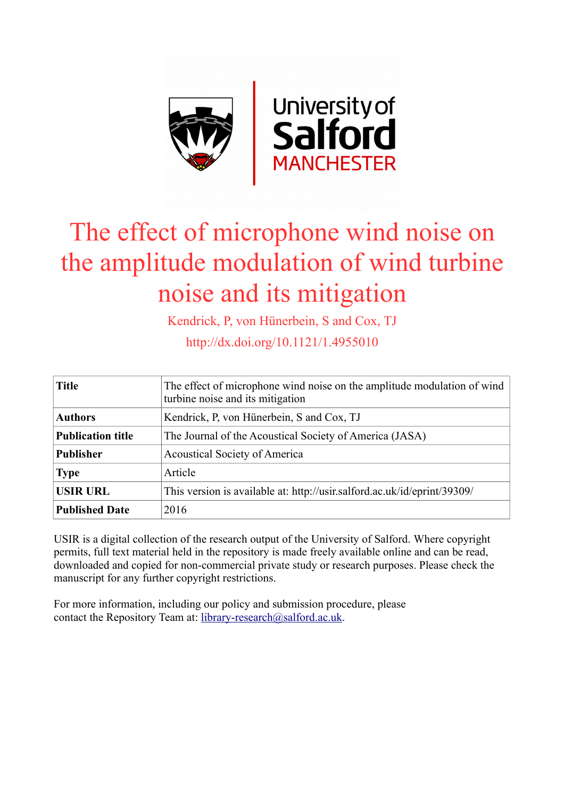

# The effect of microphone wind noise on the amplitude modulation of wind turbine noise and its mitigation

Kendrick, P, von Hünerbein, S and Cox, TJ

http://dx.doi.org/10.1121/1.4955010

| <b>Title</b>             | The effect of microphone wind noise on the amplitude modulation of wind<br>turbine noise and its mitigation |
|--------------------------|-------------------------------------------------------------------------------------------------------------|
| <b>Authors</b>           | Kendrick, P. von Hünerbein, S and Cox, TJ                                                                   |
| <b>Publication title</b> | The Journal of the Acoustical Society of America (JASA)                                                     |
| <b>Publisher</b>         | <b>Acoustical Society of America</b>                                                                        |
| <b>Type</b>              | Article                                                                                                     |
| <b>USIR URL</b>          | This version is available at: http://usir.salford.ac.uk/id/eprint/39309/                                    |
| <b>Published Date</b>    | 2016                                                                                                        |

USIR is a digital collection of the research output of the University of Salford. Where copyright permits, full text material held in the repository is made freely available online and can be read, downloaded and copied for non-commercial private study or research purposes. Please check the manuscript for any further copyright restrictions.

For more information, including our policy and submission procedure, please contact the Repository Team at: [library-research@salford.ac.uk.](mailto:library-research@salford.ac.uk)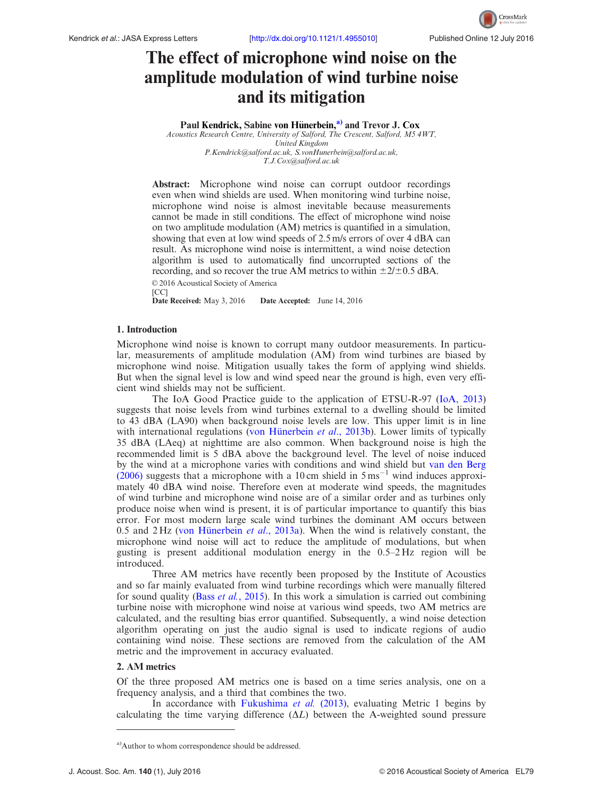

# The effect of microphone wind noise on the amplitude modulation of wind turbine noise and its mitigation

Paul Kendrick, Sabine von Hünerbein,<sup>a)</sup> and Trevor J. Cox

Acoustics Research Centre, University of Salford, The Crescent, Salford, M5 4WT, United Kingdom [P.Kendrick@salford.ac.uk](mailto:P.Kendrick@salford.ac.uk), [S.vonHunerbein@salford.ac.uk](mailto:S.vonHunerbein@salford.ac.uk), [T.J.Cox@salford.ac.uk](mailto:T.J.Cox@salford.ac.uk)

Abstract: Microphone wind noise can corrupt outdoor recordings even when wind shields are used. When monitoring wind turbine noise, microphone wind noise is almost inevitable because measurements cannot be made in still conditions. The effect of microphone wind noise on two amplitude modulation (AM) metrics is quantified in a simulation, showing that even at low wind speeds of 2.5 m/s errors of over 4 dBA can result. As microphone wind noise is intermittent, a wind noise detection algorithm is used to automatically find uncorrupted sections of the recording, and so recover the true AM metrics to within  $\pm 2/\pm 0.5$  dBA. © 2016 Acoustical Society of America

[CC]<br>**Date Received:** May 3, 2016 Date Accepted: June 14, 2016

# 1. Introduction

Microphone wind noise is known to corrupt many outdoor measurements. In particular, measurements of amplitude modulation (AM) from wind turbines are biased by microphone wind noise. Mitigation usually takes the form of applying wind shields. But when the signal level is low and wind speed near the ground is high, even very efficient wind shields may not be sufficient.

The IoA Good Practice guide to the application of ETSU-R-97 [\(IoA, 2013](#page-5-0)) suggests that noise levels from wind turbines external to a dwelling should be limited to 43 dBA (LA90) when background noise levels are low. This upper limit is in line with international regulations [\(von H](#page-5-0)ünerbein et al[., 2013b](#page-5-0)). Lower limits of typically 35 dBA (LAeq) at nighttime are also common. When background noise is high the recommended limit is 5 dBA above the background level. The level of noise induced by the wind at a microphone varies with conditions and wind shield but [van den Berg](#page-5-0)  $(2006)$  suggests that a microphone with a 10 cm shield in  $5 \text{ ms}^{-1}$  wind induces approximately 40 dBA wind noise. Therefore even at moderate wind speeds, the magnitudes of wind turbine and microphone wind noise are of a similar order and as turbines only produce noise when wind is present, it is of particular importance to quantify this bias error. For most modern large scale wind turbines the dominant AM occurs between 0.5 and  $2 \text{ Hz}$  [\(von H](#page-5-0)ünerbein *et al.*, 2013a). When the wind is relatively constant, the microphone wind noise will act to reduce the amplitude of modulations, but when gusting is present additional modulation energy in the 0.5–2 Hz region will be introduced.

Three AM metrics have recently been proposed by the Institute of Acoustics and so far mainly evaluated from wind turbine recordings which were manually filtered for sound quality (Bass et al.[, 2015](#page-5-0)). In this work a simulation is carried out combining turbine noise with microphone wind noise at various wind speeds, two AM metrics are calculated, and the resulting bias error quantified. Subsequently, a wind noise detection algorithm operating on just the audio signal is used to indicate regions of audio containing wind noise. These sections are removed from the calculation of the AM metric and the improvement in accuracy evaluated.

## 2. AM metrics

Of the three proposed AM metrics one is based on a time series analysis, one on a frequency analysis, and a third that combines the two.

In accordance with [Fukushima](#page-5-0) et al. (2013), evaluating Metric 1 begins by calculating the time varying difference  $(\Delta L)$  between the A-weighted sound pressure

<sup>&</sup>lt;sup>a)</sup>Author to whom correspondence should be addressed.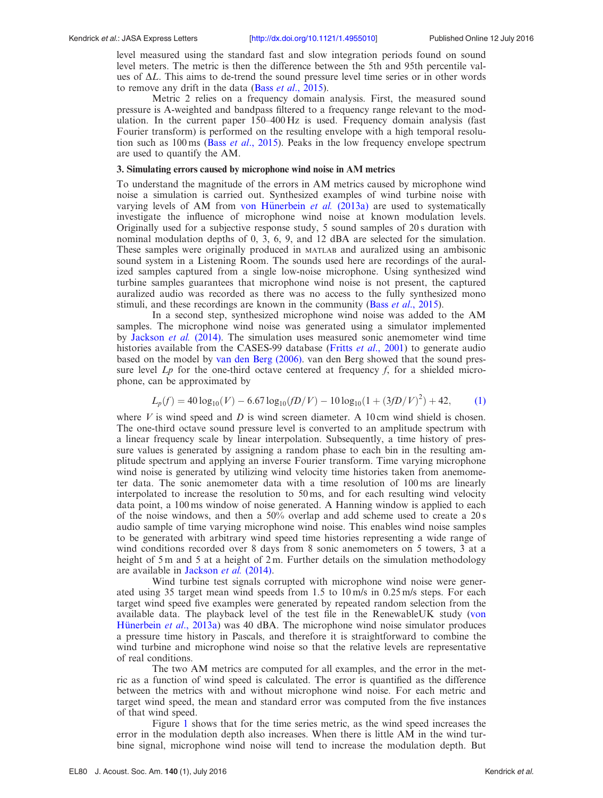<span id="page-2-0"></span>level measured using the standard fast and slow integration periods found on sound level meters. The metric is then the difference between the 5th and 95th percentile values of  $\Delta L$ . This aims to de-trend the sound pressure level time series or in other words to remove any drift in the data (Bass et al[., 2015](#page-5-0)).

Metric 2 relies on a frequency domain analysis. First, the measured sound pressure is A-weighted and bandpass filtered to a frequency range relevant to the modulation. In the current paper 150–400 Hz is used. Frequency domain analysis (fast Fourier transform) is performed on the resulting envelope with a high temporal resolution such as  $100 \text{ ms}$  (Bass *et al.*, 2015). Peaks in the low frequency envelope spectrum are used to quantify the AM.

#### 3. Simulating errors caused by microphone wind noise in AM metrics

To understand the magnitude of the errors in AM metrics caused by microphone wind noise a simulation is carried out. Synthesized examples of wind turbine noise with varying levels of AM from [von H](#page-5-0)ünerbein  $et \ al.$  [\(2013a\)](#page-5-0) are used to systematically investigate the influence of microphone wind noise at known modulation levels. Originally used for a subjective response study, 5 sound samples of 20 s duration with nominal modulation depths of 0, 3, 6, 9, and 12 dBA are selected for the simulation. These samples were originally produced in MATLAB and auralized using an ambisonic sound system in a Listening Room. The sounds used here are recordings of the auralized samples captured from a single low-noise microphone. Using synthesized wind turbine samples guarantees that microphone wind noise is not present, the captured auralized audio was recorded as there was no access to the fully synthesized mono stimuli, and these recordings are known in the community (Bass et al[., 2015](#page-5-0)).

In a second step, synthesized microphone wind noise was added to the AM samples. The microphone wind noise was generated using a simulator implemented by [Jackson](#page-5-0) et al. (2014). The simulation uses measured sonic anemometer wind time histories available from the CASES-99 database (Fritts *et al.*, 2001) to generate audio based on the model by [van den Berg \(2006\)](#page-5-0). van den Berg showed that the sound pressure level  $L_p$  for the one-third octave centered at frequency f, for a shielded microphone, can be approximated by

$$
L_p(f) = 40 \log_{10}(V) - 6.67 \log_{10}(fD/V) - 10 \log_{10}(1 + (3fD/V)^2) + 42,
$$
 (1)

where  $V$  is wind speed and  $D$  is wind screen diameter. A 10 cm wind shield is chosen. The one-third octave sound pressure level is converted to an amplitude spectrum with a linear frequency scale by linear interpolation. Subsequently, a time history of pressure values is generated by assigning a random phase to each bin in the resulting amplitude spectrum and applying an inverse Fourier transform. Time varying microphone wind noise is generated by utilizing wind velocity time histories taken from anemometer data. The sonic anemometer data with a time resolution of 100 ms are linearly interpolated to increase the resolution to 50 ms, and for each resulting wind velocity data point, a 100 ms window of noise generated. A Hanning window is applied to each of the noise windows, and then a 50% overlap and add scheme used to create a 20 s audio sample of time varying microphone wind noise. This enables wind noise samples to be generated with arbitrary wind speed time histories representing a wide range of wind conditions recorded over 8 days from 8 sonic anemometers on 5 towers, 3 at a height of 5 m and 5 at a height of 2 m. Further details on the simulation methodology are available in [Jackson](#page-5-0) et al. (2014).

Wind turbine test signals corrupted with microphone wind noise were generated using 35 target mean wind speeds from 1.5 to 10 m/s in 0.25 m/s steps. For each target wind speed five examples were generated by repeated random selection from the available data. The playback level of the test file in the RenewableUK study ([von](#page-5-0) Hünerbein *et al.*, 2013a) was 40 dBA. The microphone wind noise simulator produces a pressure time history in Pascals, and therefore it is straightforward to combine the wind turbine and microphone wind noise so that the relative levels are representative of real conditions.

The two AM metrics are computed for all examples, and the error in the metric as a function of wind speed is calculated. The error is quantified as the difference between the metrics with and without microphone wind noise. For each metric and target wind speed, the mean and standard error was computed from the five instances of that wind speed.

Figure [1](#page-3-0) shows that for the time series metric, as the wind speed increases the error in the modulation depth also increases. When there is little AM in the wind turbine signal, microphone wind noise will tend to increase the modulation depth. But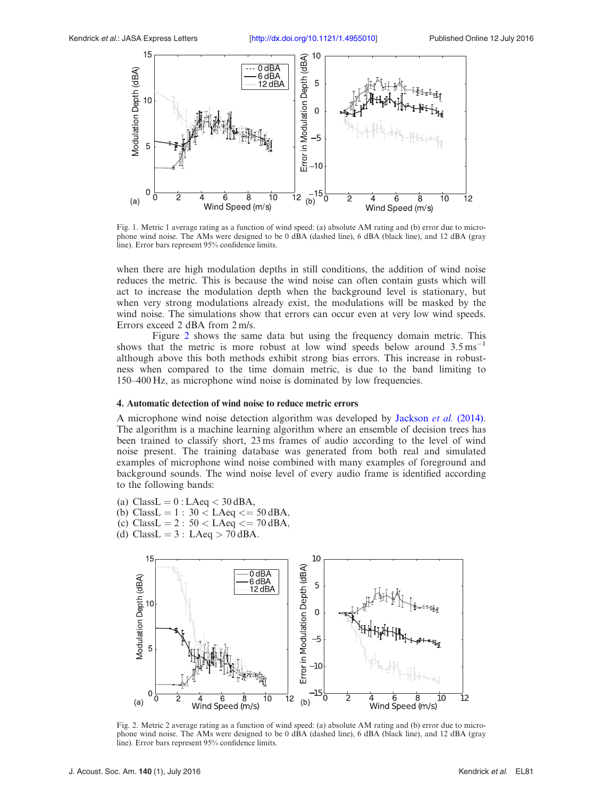<span id="page-3-0"></span>

Fig. 1. Metric 1 average rating as a function of wind speed: (a) absolute AM rating and (b) error due to microphone wind noise. The AMs were designed to be 0 dBA (dashed line), 6 dBA (black line), and 12 dBA (gray line). Error bars represent 95% confidence limits.

when there are high modulation depths in still conditions, the addition of wind noise reduces the metric. This is because the wind noise can often contain gusts which will act to increase the modulation depth when the background level is stationary, but when very strong modulations already exist, the modulations will be masked by the wind noise. The simulations show that errors can occur even at very low wind speeds. Errors exceed 2 dBA from 2 m/s.

Figure 2 shows the same data but using the frequency domain metric. This shows that the metric is more robust at low wind speeds below around  $3.5 \text{ ms}^{-1}$ although above this both methods exhibit strong bias errors. This increase in robustness when compared to the time domain metric, is due to the band limiting to 150–400 Hz, as microphone wind noise is dominated by low frequencies.

## 4. Automatic detection of wind noise to reduce metric errors

A microphone wind noise detection algorithm was developed by [Jackson](#page-5-0) et al. (2014). The algorithm is a machine learning algorithm where an ensemble of decision trees has been trained to classify short, 23 ms frames of audio according to the level of wind noise present. The training database was generated from both real and simulated examples of microphone wind noise combined with many examples of foreground and background sounds. The wind noise level of every audio frame is identified according to the following bands:

- (a) ClassL =  $0$  : LAeq < 30 dBA,
- (b)  $ClassL = 1 : 30 < LAeq \leq 50 \, dBA$ ,
- (c)  $ClassL = 2 : 50 < LAeq \leq 70 \, dBA$ ,
- (d) ClassL =  $3$  : LAeq > 70 dBA.



Fig. 2. Metric 2 average rating as a function of wind speed: (a) absolute AM rating and (b) error due to microphone wind noise. The AMs were designed to be 0 dBA (dashed line), 6 dBA (black line), and 12 dBA (gray line). Error bars represent 95% confidence limits.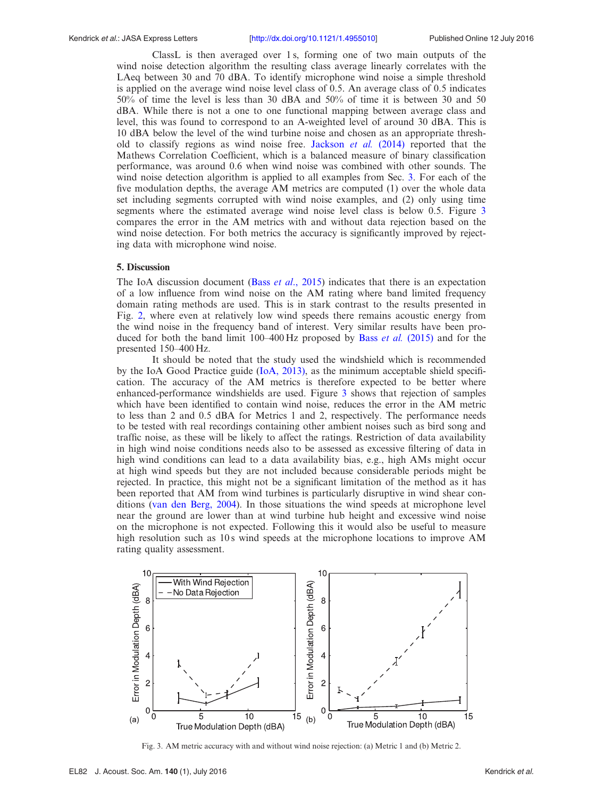#### Kendrick et al.: JASA Express Letters [<http://dx.doi.org/10.1121/1.4955010>] Published Online 12 July 2016

ClassL is then averaged over 1 s, forming one of two main outputs of the wind noise detection algorithm the resulting class average linearly correlates with the LAeq between 30 and 70 dBA. To identify microphone wind noise a simple threshold is applied on the average wind noise level class of 0.5. An average class of 0.5 indicates 50% of time the level is less than 30 dBA and 50% of time it is between 30 and 50 dBA. While there is not a one to one functional mapping between average class and level, this was found to correspond to an A-weighted level of around 30 dBA. This is 10 dBA below the level of the wind turbine noise and chosen as an appropriate thresh-old to classify regions as wind noise free. [Jackson](#page-5-0) *et al.* (2014) reported that the Mathews Correlation Coefficient, which is a balanced measure of binary classification performance, was around 0.6 when wind noise was combined with other sounds. The wind noise detection algorithm is applied to all examples from Sec. [3](#page-2-0). For each of the five modulation depths, the average AM metrics are computed (1) over the whole data set including segments corrupted with wind noise examples, and (2) only using time segments where the estimated average wind noise level class is below 0.5. Figure 3 compares the error in the AM metrics with and without data rejection based on the wind noise detection. For both metrics the accuracy is significantly improved by rejecting data with microphone wind noise.

#### 5. Discussion

The IoA discussion document (Bass *et al.*, 2015) indicates that there is an expectation of a low influence from wind noise on the AM rating where band limited frequency domain rating methods are used. This is in stark contrast to the results presented in Fig. [2](#page-3-0), where even at relatively low wind speeds there remains acoustic energy from the wind noise in the frequency band of interest. Very similar results have been produced for both the band limit  $100-400$  Hz proposed by Bass *et al.* [\(2015\)](#page-5-0) and for the presented 150–400 Hz.

It should be noted that the study used the windshield which is recommended by the IoA Good Practice guide ([IoA, 2013\),](#page-5-0) as the minimum acceptable shield specification. The accuracy of the AM metrics is therefore expected to be better where enhanced-performance windshields are used. Figure 3 shows that rejection of samples which have been identified to contain wind noise, reduces the error in the AM metric to less than 2 and 0.5 dBA for Metrics 1 and 2, respectively. The performance needs to be tested with real recordings containing other ambient noises such as bird song and traffic noise, as these will be likely to affect the ratings. Restriction of data availability in high wind noise conditions needs also to be assessed as excessive filtering of data in high wind conditions can lead to a data availability bias, e.g., high AMs might occur at high wind speeds but they are not included because considerable periods might be rejected. In practice, this might not be a significant limitation of the method as it has been reported that AM from wind turbines is particularly disruptive in wind shear conditions [\(van den Berg, 2004\)](#page-5-0). In those situations the wind speeds at microphone level near the ground are lower than at wind turbine hub height and excessive wind noise on the microphone is not expected. Following this it would also be useful to measure high resolution such as 10s wind speeds at the microphone locations to improve AM rating quality assessment.



Fig. 3. AM metric accuracy with and without wind noise rejection: (a) Metric 1 and (b) Metric 2.